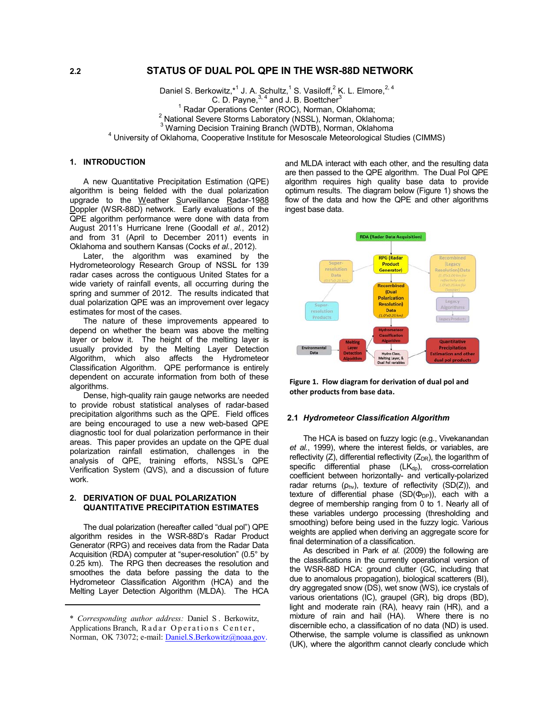# **2.2 STATUS OF DUAL POL QPE IN THE WSR-88D NETWORK**

Daniel S. Berkowitz, <sup>\*1</sup> J. A. Schultz, <sup>1</sup> S. Vasiloff, <sup>2</sup> K. L. Elmore, <sup>2, 4</sup> C. D. Payne,  $3, 4$  and J. B. Boettcher $3$ <sup>1</sup> Radar Operations Center (ROC), Norman, Oklahoma; <sup>2</sup> National Severe Storms Laboratory (NSSL), Norman, Oklahoma; <sup>3</sup> Warning Decision Training Branch (WDTB), Norman, Oklahoma<br><sup>4</sup> University of Oklahoma, Cooperative Institute for Measonale Meteorological Stu  $4$  University of Oklahoma, Cooperative Institute for Mesoscale Meteorological Studies (CIMMS)

# **1. INTRODUCTION**

A new Quantitative Precipitation Estimation (QPE) algorithm is being fielded with the dual polarization upgrade to the Weather Surveillance Radar-1988 Doppler (WSR-88D) network. Early evaluations of the QPE algorithm performance were done with data from August 2011's Hurricane Irene (Goodall *et al.*, 2012) and from 31 (April to December 2011) events in Oklahoma and southern Kansas (Cocks *et al.*, 2012).

Later, the algorithm was examined by the Hydrometeorology Research Group of NSSL for 139 radar cases across the contiguous United States for a wide variety of rainfall events, all occurring during the spring and summer of 2012. The results indicated that dual polarization QPE was an improvement over legacy estimates for most of the cases.

The nature of these improvements appeared to depend on whether the beam was above the melting layer or below it. The height of the melting layer is usually provided by the Melting Layer Detection Algorithm, which also affects the Hydrometeor Classification Algorithm. QPE performance is entirely dependent on accurate information from both of these algorithms.

Dense, high-quality rain gauge networks are needed to provide robust statistical analyses of radar-based precipitation algorithms such as the QPE. Field offices are being encouraged to use a new web-based QPE diagnostic tool for dual polarization performance in their areas. This paper provides an update on the QPE dual polarization rainfall estimation, challenges in the analysis of QPE, training efforts, NSSL's QPE Verification System (QVS), and a discussion of future work.

### **2. DERIVATION OF DUAL POLARIZATION QUANTITATIVE PRECIPITATION ESTIMATES**

The dual polarization (hereafter called "dual pol") QPE algorithm resides in the WSR-88D's Radar Product Generator (RPG) and receives data from the Radar Data Acquisition (RDA) computer at "super-resolution" (0.5° by 0.25 km). The RPG then decreases the resolution and smoothes the data before passing the data to the Hydrometeor Classification Algorithm (HCA) and the Melting Layer Detection Algorithm (MLDA). The HCA

and MLDA interact with each other, and the resulting data are then passed to the QPE algorithm. The Dual Pol QPE algorithm requires high quality base data to provide optimum results. The diagram below (Figure 1) shows the flow of the data and how the QPE and other algorithms ingest base data.



**Figure 1. Flow diagram for derivation of dual pol and other products from base data.**

#### **2.1** *Hydrometeor Classification Algorithm*

The HCA is based on fuzzy logic (e.g., Vivekanandan *et al.*, 1999), where the interest fields, or variables, are reflectivity  $(Z)$ , differential reflectivity  $(Z_{DR})$ , the logarithm of specific differential phase  $(LK_{dp})$ , cross-correlation coefficient between horizontally- and vertically-polarized radar returns ( $\rho_{\text{hv}}$ ), texture of reflectivity (SD(Z)), and texture of differential phase  $(SD(\Phi_{DP}))$ , each with a degree of membership ranging from 0 to 1. Nearly all of these variables undergo processing (thresholding and smoothing) before being used in the fuzzy logic. Various weights are applied when deriving an aggregate score for final determination of a classification.

As described in Park *et al.* (2009) the following are the classifications in the currently operational version of the WSR-88D HCA: ground clutter (GC, including that due to anomalous propagation), biological scatterers (BI), dry aggregated snow (DS), wet snow (WS), ice crystals of various orientations (IC), graupel (GR), big drops (BD), light and moderate rain (RA), heavy rain (HR), and a mixture of rain and hail (HA). Where there is no discernible echo, a classification of no data (ND) is used. Otherwise, the sample volume is classified as unknown (UK), where the algorithm cannot clearly conclude which

<sup>\*</sup> *Corresponding author address:* Daniel S . Berkowitz, Applications Branch, Radar Operations Center, Norman, OK 73072; e-mail: Daniel.S.Berkowitz@noaa.gov.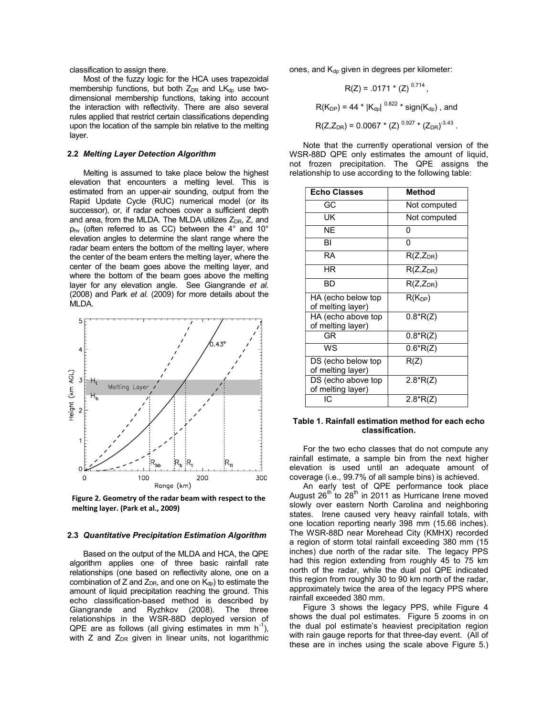classification to assign there.

Most of the fuzzy logic for the HCA uses trapezoidal membership functions, but both  $Z_{DR}$  and  $LK_{dp}$  use twodimensional membership functions, taking into account the interaction with reflectivity. There are also several rules applied that restrict certain classifications depending upon the location of the sample bin relative to the melting layer.

#### **2.2** *Melting Layer Detection Algorithm*

Melting is assumed to take place below the highest elevation that encounters a melting level. This is estimated from an upper-air sounding, output from the Rapid Update Cycle (RUC) numerical model (or its successor), or, if radar echoes cover a sufficient depth and area, from the MLDA. The MLDA utilizes  $Z_{DR}$ , Z, and  $p_{hv}$  (often referred to as CC) between the 4 $\degree$  and 10 $\degree$ elevation angles to determine the slant range where the radar beam enters the bottom of the melting layer, where the center of the beam enters the melting layer, where the center of the beam goes above the melting layer, and where the bottom of the beam goes above the melting layer for any elevation angle. See Giangrande *et al.* (2008) and Park *et al.* (2009) for more details about the MLDA.



**Figure 2. Geometry of the radar beam with respect to the melting layer. (Park et al., 2009)**

#### **2.3** *Quantitative Precipitation Estimation Algorithm*

Based on the output of the MLDA and HCA, the QPE algorithm applies one of three basic rainfall rate relationships (one based on reflectivity alone, one on a combination of Z and  $Z_{DR}$ , and one on  $K_{dp}$ ) to estimate the amount of liquid precipitation reaching the ground. This echo classification-based method is described by Giangrande and Ryzhkov (2008). The three relationships in the WSR-88D deployed version of QPE are as follows (all giving estimates in mm  $h^{-1}$ ), with Z and  $Z_{DR}$  given in linear units, not logarithmic

ones, and  $K_{dp}$  given in degrees per kilometer:

$$
R(Z) = .0171 \times (Z)^{0.714},
$$
  
\n
$$
R(K_{DP}) = 44 \times |K_{dp}|^{0.822} \times \text{sign}(K_{dp}), \text{ and}
$$
  
\n
$$
R(Z, Z_{DR}) = 0.0067 \times (Z)^{0.927} \times (Z_{DR})^{-3.43}.
$$

Note that the currently operational version of the WSR-88D QPE only estimates the amount of liquid, not frozen precipitation. The QPE assigns the relationship to use according to the following table:

| <b>Echo Classes</b>                     | Method        |
|-----------------------------------------|---------------|
| GC                                      | Not computed  |
| UK                                      | Not computed  |
| $\overline{\sf NE}$                     | N             |
| ΒI                                      | U             |
| <b>RA</b>                               | $R(Z,Z_{DR})$ |
| ΗR                                      | $R(Z,Z_{DR})$ |
| BD                                      | $R(Z,Z_{DR})$ |
| HA (echo below top<br>of melting layer) | $R(K_{DP})$   |
| HA (echo above top<br>of melting layer) | $0.8*R(Z)$    |
| GR                                      | $0.8*R(Z)$    |
| WS                                      | $0.6*R(Z)$    |
| DS (echo below top<br>of melting layer) | R(Z)          |
| DS (echo above top<br>of melting layer) | $2.8*R(Z)$    |
| IC.                                     | $2.8*R(Z)$    |

#### **Table 1. Rainfall estimation method for each echo classification.**

For the two echo classes that do not compute any rainfall estimate, a sample bin from the next higher elevation is used until an adequate amount of coverage (i.e., 99.7% of all sample bins) is achieved.

An early test of QPE performance took place August  $26^{th}$  to  $28^{th}$  in 2011 as Hurricane Irene moved slowly over eastern North Carolina and neighboring states. Irene caused very heavy rainfall totals, with one location reporting nearly 398 mm (15.66 inches). The WSR-88D near Morehead City (KMHX) recorded a region of storm total rainfall exceeding 380 mm (15 inches) due north of the radar site. The legacy PPS had this region extending from roughly 45 to 75 km north of the radar, while the dual pol QPE indicated this region from roughly 30 to 90 km north of the radar, approximately twice the area of the legacy PPS where rainfall exceeded 380 mm.

Figure 3 shows the legacy PPS, while Figure 4 shows the dual pol estimates. Figure 5 zooms in on the dual pol estimate's heaviest precipitation region with rain gauge reports for that three-day event. (All of these are in inches using the scale above Figure 5.)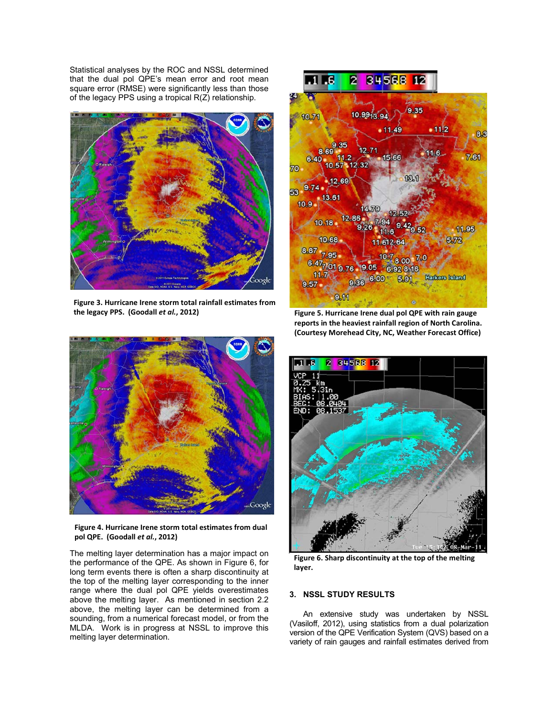Statistical analyses by the ROC and NSSL determined that the dual pol QPE's mean error and root mean square error (RMSE) were significantly less than those of the legacy PPS using a tropical R(Z) relationship.



**Figure 3. Hurricane Irene storm total rainfall estimates from the legacy PPS. (Goodall** *et al.***, 2012)**



**Figure 5. Hurricane Irene dual pol QPE with rain gauge reports in the heaviest rainfall region of North Carolina. (Courtesy Morehead City, NC, Weather Forecast Office)** 



**Figure 4. Hurricane Irene storm total estimates from dual pol QPE. (Goodall** *et al.***, 2012)**

The melting layer determination has a major impact on the performance of the QPE. As shown in Figure 6, for long term events there is often a sharp discontinuity at the top of the melting layer corresponding to the inner range where the dual pol QPE yields overestimates above the melting layer. As mentioned in section 2.2 above, the melting layer can be determined from a sounding, from a numerical forecast model, or from the MLDA. Work is in progress at NSSL to improve this melting layer determination.



**Figure 6. Sharp discontinuity at the top of the melting layer.**

# **3. NSSL STUDY RESULTS**

An extensive study was undertaken by NSSL (Vasiloff, 2012), using statistics from a dual polarization version of the QPE Verification System (QVS) based on a variety of rain gauges and rainfall estimates derived from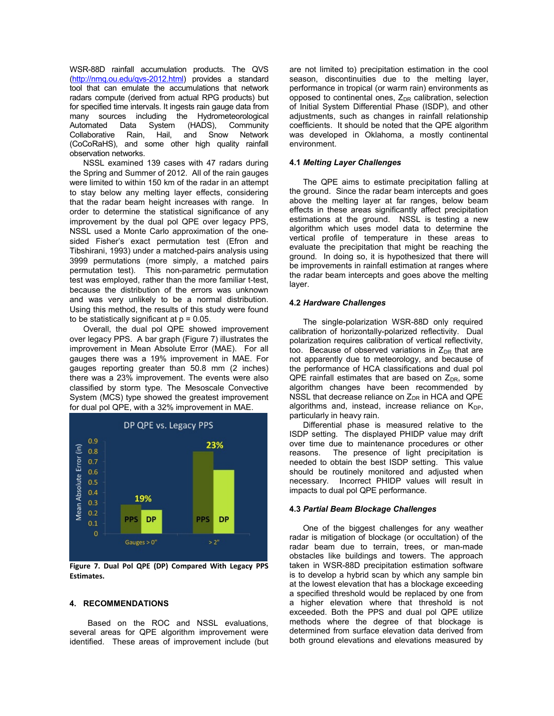WSR-88D rainfall accumulation products. The QVS (http://nmq.ou.edu/qvs-2012.html) provides a standard tool that can emulate the accumulations that network radars compute (derived from actual RPG products) but for specified time intervals. It ingests rain gauge data from many sources including the Hydrometeorological Automated Data System (HADS), Community Collaborative Rain, Hail, and Snow Network (CoCoRaHS), and some other high quality rainfall observation networks.

NSSL examined 139 cases with 47 radars during the Spring and Summer of 2012. All of the rain gauges were limited to within 150 km of the radar in an attempt to stay below any melting layer effects, considering that the radar beam height increases with range. In order to determine the statistical significance of any improvement by the dual pol QPE over legacy PPS, NSSL used a Monte Carlo approximation of the onesided Fisher's exact permutation test (Efron and Tibshirani, 1993) under a matched-pairs analysis using 3999 permutations (more simply, a matched pairs permutation test). This non-parametric permutation test was employed, rather than the more familiar t-test, because the distribution of the errors was unknown and was very unlikely to be a normal distribution. Using this method, the results of this study were found to be statistically significant at  $p = 0.05$ .

Overall, the dual pol QPE showed improvement over legacy PPS. A bar graph (Figure 7) illustrates the improvement in Mean Absolute Error (MAE). For all gauges there was a 19% improvement in MAE. For gauges reporting greater than 50.8 mm (2 inches) there was a 23% improvement. The events were also classified by storm type. The Mesoscale Convective System (MCS) type showed the greatest improvement for dual pol QPE, with a 32% improvement in MAE.



**Figure 7. Dual Pol QPE (DP) Compared With Legacy PPS Estimates.** 

# **4. RECOMMENDATIONS**

Based on the ROC and NSSL evaluations, several areas for QPE algorithm improvement were identified. These areas of improvement include (but are not limited to) precipitation estimation in the cool season, discontinuities due to the melting layer, performance in tropical (or warm rain) environments as opposed to continental ones,  $Z_{\text{DR}}$  calibration, selection of Initial System Differential Phase (ISDP), and other adjustments, such as changes in rainfall relationship coefficients. It should be noted that the QPE algorithm was developed in Oklahoma, a mostly continental environment.

### **4.1** *Melting Layer Challenges*

The QPE aims to estimate precipitation falling at the ground. Since the radar beam intercepts and goes above the melting layer at far ranges, below beam effects in these areas significantly affect precipitation estimations at the ground. NSSL is testing a new algorithm which uses model data to determine the vertical profile of temperature in these areas to evaluate the precipitation that might be reaching the ground. In doing so, it is hypothesized that there will be improvements in rainfall estimation at ranges where the radar beam intercepts and goes above the melting layer.

### **4.2** *Hardware Challenges*

The single-polarization WSR-88D only required calibration of horizontally-polarized reflectivity. Dual polarization requires calibration of vertical reflectivity, too. Because of observed variations in  $Z_{DR}$  that are not apparently due to meteorology, and because of the performance of HCA classifications and dual pol QPE rainfall estimates that are based on  $Z_{DR}$ , some algorithm changes have been recommended by NSSL that decrease reliance on  $Z_{DR}$  in HCA and QPE algorithms and, instead, increase reliance on  $K_{DP}$ , particularly in heavy rain.

Differential phase is measured relative to the ISDP setting. The displayed PHIDP value may drift over time due to maintenance procedures or other reasons. The presence of light precipitation is needed to obtain the best ISDP setting. This value should be routinely monitored and adjusted when necessary. Incorrect PHIDP values will result in impacts to dual pol QPE performance.

#### **4.3** *Partial Beam Blockage Challenges*

One of the biggest challenges for any weather radar is mitigation of blockage (or occultation) of the radar beam due to terrain, trees, or man-made obstacles like buildings and towers. The approach taken in WSR-88D precipitation estimation software is to develop a hybrid scan by which any sample bin at the lowest elevation that has a blockage exceeding a specified threshold would be replaced by one from a higher elevation where that threshold is not exceeded. Both the PPS and dual pol QPE utilize methods where the degree of that blockage is determined from surface elevation data derived from both ground elevations and elevations measured by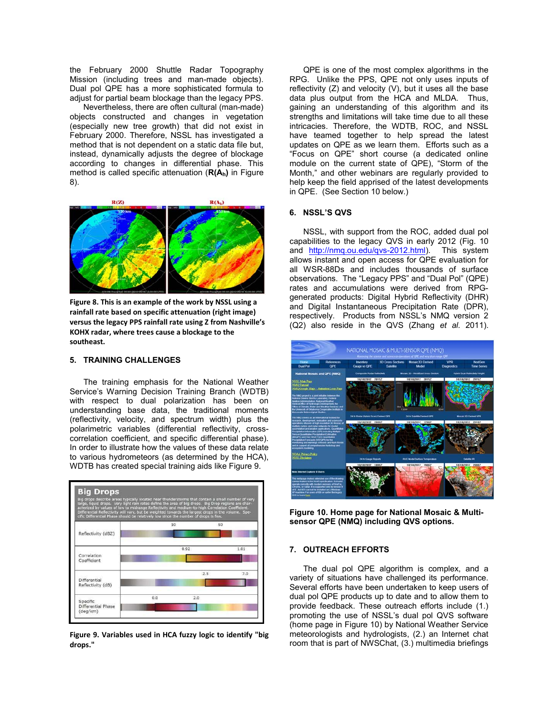the February 2000 Shuttle Radar Topography Mission (including trees and man-made objects). Dual pol QPE has a more sophisticated formula to adjust for partial beam blockage than the legacy PPS.

Nevertheless, there are often cultural (man-made) objects constructed and changes in vegetation (especially new tree growth) that did not exist in February 2000. Therefore, NSSL has investigated a method that is not dependent on a static data file but, instead, dynamically adjusts the degree of blockage according to changes in differential phase. This method is called specific attenuation (**R(Ah)** in Figure 8).



**Figure 8. This is an example of the work by NSSL using a rainfall rate based on specific attenuation (right image) versus the legacy PPS rainfall rate using Z from Nashville's KOHX radar, where trees cause a blockage to the southeast.**

### **5. TRAINING CHALLENGES**

The training emphasis for the National Weather Service's Warning Decision Training Branch (WDTB) with respect to dual polarization has been on understanding base data, the traditional moments (reflectivity, velocity, and spectrum width) plus the polarimetric variables (differential reflectivity, crosscorrelation coefficient, and specific differential phase). In order to illustrate how the values of these data relate to various hydrometeors (as determined by the HCA), WDTB has created special training aids like Figure 9.



**Figure 9. Variables used in HCA fuzzy logic to identify "big drops."** 

QPE is one of the most complex algorithms in the RPG. Unlike the PPS, QPE not only uses inputs of reflectivity (Z) and velocity (V), but it uses all the base data plus output from the HCA and MLDA. Thus, gaining an understanding of this algorithm and its strengths and limitations will take time due to all these intricacies. Therefore, the WDTB, ROC, and NSSL have teamed together to help spread the latest updates on QPE as we learn them. Efforts such as a "Focus on QPE" short course (a dedicated online module on the current state of QPE), "Storm of the Month," and other webinars are regularly provided to help keep the field apprised of the latest developments in QPE. (See Section 10 below.)

# **6. NSSL'S QVS**

NSSL, with support from the ROC, added dual pol capabilities to the legacy QVS in early 2012 (Fig. 10 and http://nmq.ou.edu/qvs-2012.html). This system allows instant and open access for QPE evaluation for all WSR-88Ds and includes thousands of surface observations. The "Legacy PPS" and "Dual Pol" (QPE) rates and accumulations were derived from RPGgenerated products: Digital Hybrid Reflectivity (DHR) and Digital Instantaneous Precipitation Rate (DPR), respectively. Products from NSSL's NMQ version 2 (Q2) also reside in the QVS (Zhang *et al.* 2011).



**Figure 10. Home page for National Mosaic & Multisensor QPE (NMQ) including QVS options.** 

# **7. OUTREACH EFFORTS**

The dual pol QPE algorithm is complex, and a variety of situations have challenged its performance. Several efforts have been undertaken to keep users of dual pol QPE products up to date and to allow them to provide feedback. These outreach efforts include (1.) promoting the use of NSSL's dual pol QVS software (home page in Figure 10) by National Weather Service meteorologists and hydrologists, (2.) an Internet chat room that is part of NWSChat, (3.) multimedia briefings